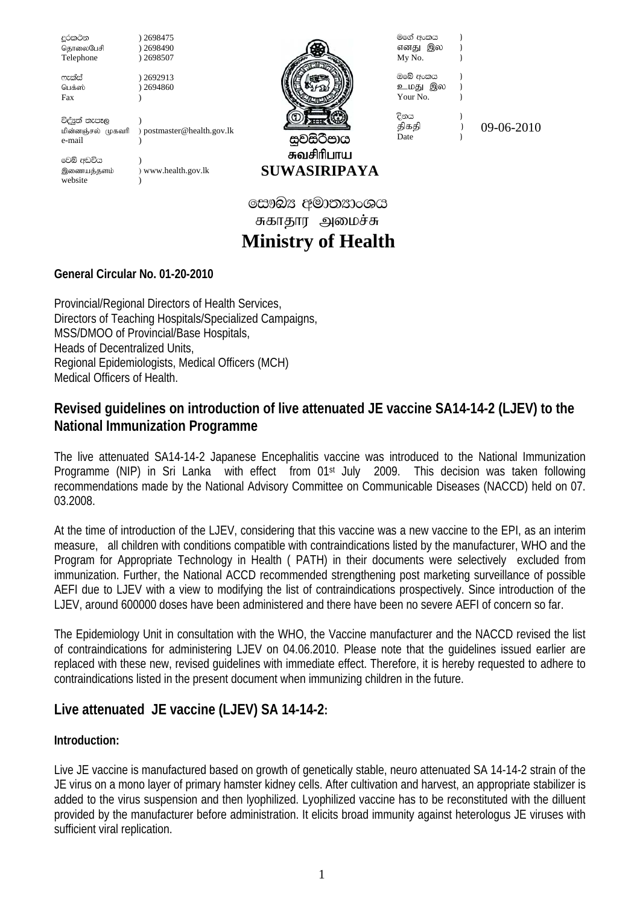දූරකථන ) 2698475<br>கொலைபேசி ) 2698490 தொலைபேசி ) 2698490<br>Telephone ) 2698507 Telephone ලැක්ස් ) 2692913<br>டெக்ஸ் ) 2694860  $32694860$ Fax (b) විද්<sub>ජි</sub>ත් තැපෑල ) kpd;dQ;ry; Kfthp ) postmaster@health.gov.lk e-mail (b) වෙබ් අඩවිය இணையத்தளம் ) www.health.gov.lk website  $)$ 



சுவசிரிபாய **SUWASIRIPAYA**  මගේ අංකය **)** எனது இல )  $My No.$   $)$ 

Tfns wxlh & ckJ ,y & Your No.

ිනය )

திகதி )  $09-06-2010$ 

 **Ministry of Health**  சுகாதார அமைச்சு සෞඛ $x$  අමාතනාංශය

# **General Circular No. 01-20-2010**

Provincial/Regional Directors of Health Services, Directors of Teaching Hospitals/Specialized Campaigns, MSS/DMOO of Provincial/Base Hospitals, Heads of Decentralized Units, Regional Epidemiologists, Medical Officers (MCH) Medical Officers of Health.

# **Revised guidelines on introduction of live attenuated JE vaccine SA14-14-2 (LJEV) to the National Immunization Programme**

The live attenuated SA14-14-2 Japanese Encephalitis vaccine was introduced to the National Immunization Programme (NIP) in Sri Lanka with effect from 01<sup>st</sup> July 2009. This decision was taken following recommendations made by the National Advisory Committee on Communicable Diseases (NACCD) held on 07. 03.2008.

At the time of introduction of the LJEV, considering that this vaccine was a new vaccine to the EPI, as an interim measure, all children with conditions compatible with contraindications listed by the manufacturer, WHO and the Program for Appropriate Technology in Health ( PATH) in their documents were selectively excluded from immunization. Further, the National ACCD recommended strengthening post marketing surveillance of possible AEFI due to LJEV with a view to modifying the list of contraindications prospectively. Since introduction of the LJEV, around 600000 doses have been administered and there have been no severe AEFI of concern so far.

The Epidemiology Unit in consultation with the WHO, the Vaccine manufacturer and the NACCD revised the list of contraindications for administering LJEV on 04.06.2010. Please note that the guidelines issued earlier are replaced with these new, revised guidelines with immediate effect. Therefore, it is hereby requested to adhere to contraindications listed in the present document when immunizing children in the future.

# **Live attenuated JE vaccine (LJEV) SA 14-14-2:**

## **Introduction:**

Live JE vaccine is manufactured based on growth of genetically stable, neuro attenuated SA 14-14-2 strain of the JE virus on a mono layer of primary hamster kidney cells. After cultivation and harvest, an appropriate stabilizer is added to the virus suspension and then lyophilized. Lyophilized vaccine has to be reconstituted with the dilluent provided by the manufacturer before administration. It elicits broad immunity against heterologus JE viruses with sufficient viral replication.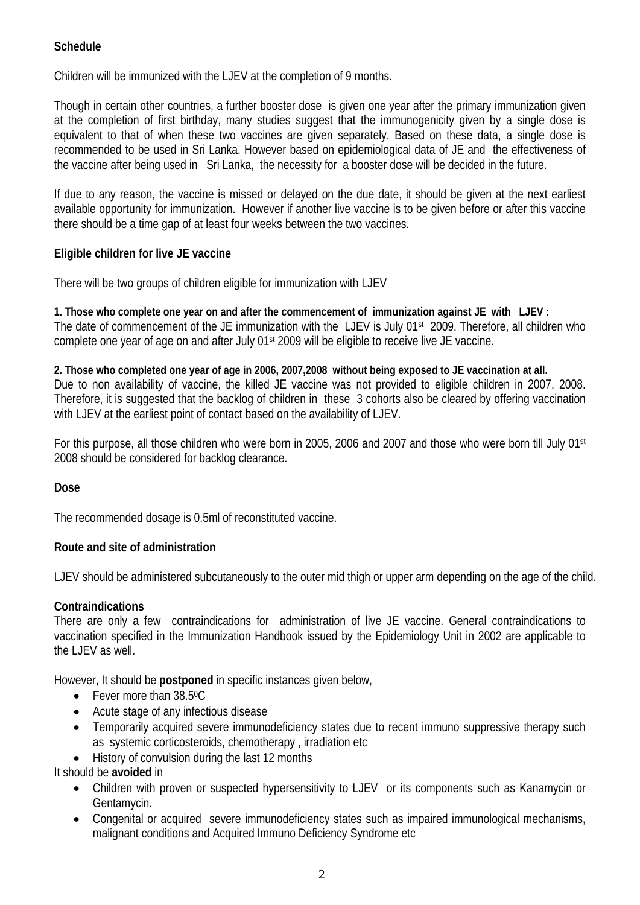### **Schedule**

Children will be immunized with the LJEV at the completion of 9 months.

Though in certain other countries, a further booster dose is given one year after the primary immunization given at the completion of first birthday, many studies suggest that the immunogenicity given by a single dose is equivalent to that of when these two vaccines are given separately. Based on these data, a single dose is recommended to be used in Sri Lanka. However based on epidemiological data of JE and the effectiveness of the vaccine after being used in Sri Lanka, the necessity for a booster dose will be decided in the future.

If due to any reason, the vaccine is missed or delayed on the due date, it should be given at the next earliest available opportunity for immunization. However if another live vaccine is to be given before or after this vaccine there should be a time gap of at least four weeks between the two vaccines.

#### **Eligible children for live JE vaccine**

There will be two groups of children eligible for immunization with LJEV

**1. Those who complete one year on and after the commencement of immunization against JE with LJEV :**  The date of commencement of the JE immunization with the LJEV is July 01<sup>st</sup> 2009. Therefore, all children who complete one year of age on and after July 01st 2009 will be eligible to receive live JE vaccine.

**2. Those who completed one year of age in 2006, 2007,2008 without being exposed to JE vaccination at all.**  Due to non availability of vaccine, the killed JE vaccine was not provided to eligible children in 2007, 2008. Therefore, it is suggested that the backlog of children in these 3 cohorts also be cleared by offering vaccination with LJEV at the earliest point of contact based on the availability of LJEV.

For this purpose, all those children who were born in 2005, 2006 and 2007 and those who were born till July 01st 2008 should be considered for backlog clearance.

#### **Dose**

The recommended dosage is 0.5ml of reconstituted vaccine.

#### **Route and site of administration**

LJEV should be administered subcutaneously to the outer mid thigh or upper arm depending on the age of the child.

#### **Contraindications**

There are only a few contraindications for administration of live JE vaccine. General contraindications to vaccination specified in the Immunization Handbook issued by the Epidemiology Unit in 2002 are applicable to the LJEV as well.

However, It should be **postponed** in specific instances given below,

- Fever more than 38.5°C
- Acute stage of any infectious disease
- Temporarily acquired severe immunodeficiency states due to recent immuno suppressive therapy such as systemic corticosteroids, chemotherapy , irradiation etc
- History of convulsion during the last 12 months

It should be **avoided** in

- Children with proven or suspected hypersensitivity to LJEV or its components such as Kanamycin or Gentamycin.
- Congenital or acquired severe immunodeficiency states such as impaired immunological mechanisms, malignant conditions and Acquired Immuno Deficiency Syndrome etc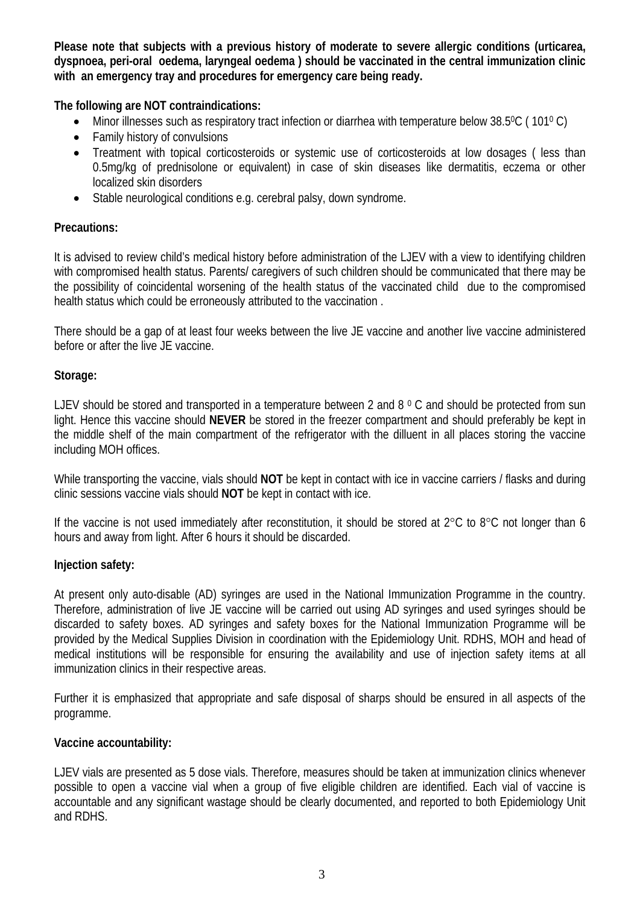**Please note that subjects with a previous history of moderate to severe allergic conditions (urticarea, dyspnoea, peri-oral oedema, laryngeal oedema ) should be vaccinated in the central immunization clinic with an emergency tray and procedures for emergency care being ready.** 

**The following are NOT contraindications:** 

- Minor illnesses such as respiratory tract infection or diarrhea with temperature below 38.50C ( 1010 C)
- Family history of convulsions
- Treatment with topical corticosteroids or systemic use of corticosteroids at low dosages ( less than 0.5mg/kg of prednisolone or equivalent) in case of skin diseases like dermatitis, eczema or other localized skin disorders
- Stable neurological conditions e.g. cerebral palsy, down syndrome.

#### **Precautions:**

It is advised to review child's medical history before administration of the LJEV with a view to identifying children with compromised health status. Parents/ caregivers of such children should be communicated that there may be the possibility of coincidental worsening of the health status of the vaccinated child due to the compromised health status which could be erroneously attributed to the vaccination .

There should be a gap of at least four weeks between the live JE vaccine and another live vaccine administered before or after the live JE vaccine.

#### **Storage:**

LJEV should be stored and transported in a temperature between 2 and 8 °C and should be protected from sun light. Hence this vaccine should **NEVER** be stored in the freezer compartment and should preferably be kept in the middle shelf of the main compartment of the refrigerator with the dilluent in all places storing the vaccine including MOH offices.

While transporting the vaccine, vials should **NOT** be kept in contact with ice in vaccine carriers / flasks and during clinic sessions vaccine vials should **NOT** be kept in contact with ice.

If the vaccine is not used immediately after reconstitution, it should be stored at  $2^{\circ}$ C to  $8^{\circ}$ C not longer than 6 hours and away from light. After 6 hours it should be discarded.

#### **Injection safety:**

At present only auto-disable (AD) syringes are used in the National Immunization Programme in the country. Therefore, administration of live JE vaccine will be carried out using AD syringes and used syringes should be discarded to safety boxes. AD syringes and safety boxes for the National Immunization Programme will be provided by the Medical Supplies Division in coordination with the Epidemiology Unit. RDHS, MOH and head of medical institutions will be responsible for ensuring the availability and use of injection safety items at all immunization clinics in their respective areas.

Further it is emphasized that appropriate and safe disposal of sharps should be ensured in all aspects of the programme.

#### **Vaccine accountability:**

LJEV vials are presented as 5 dose vials. Therefore, measures should be taken at immunization clinics whenever possible to open a vaccine vial when a group of five eligible children are identified. Each vial of vaccine is accountable and any significant wastage should be clearly documented, and reported to both Epidemiology Unit and RDHS.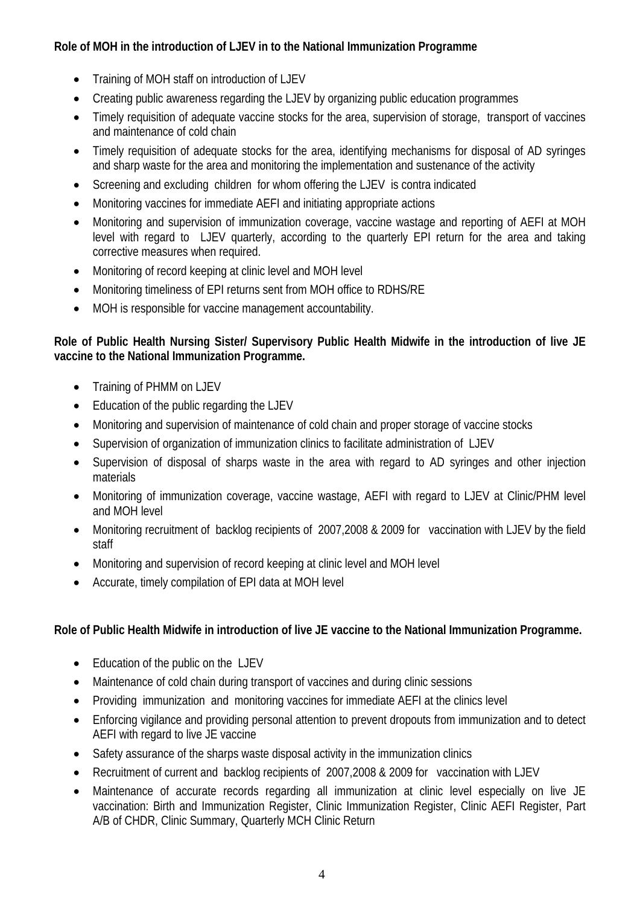# **Role of MOH in the introduction of LJEV in to the National Immunization Programme**

- Training of MOH staff on introduction of LJEV
- Creating public awareness regarding the LJEV by organizing public education programmes
- Timely requisition of adequate vaccine stocks for the area, supervision of storage, transport of vaccines and maintenance of cold chain
- Timely requisition of adequate stocks for the area, identifying mechanisms for disposal of AD syringes and sharp waste for the area and monitoring the implementation and sustenance of the activity
- Screening and excluding children for whom offering the LJEV is contra indicated
- Monitoring vaccines for immediate AEFI and initiating appropriate actions
- Monitoring and supervision of immunization coverage, vaccine wastage and reporting of AEFI at MOH level with regard to LJEV quarterly, according to the quarterly EPI return for the area and taking corrective measures when required.
- Monitoring of record keeping at clinic level and MOH level
- Monitoring timeliness of EPI returns sent from MOH office to RDHS/RE
- MOH is responsible for vaccine management accountability.

## **Role of Public Health Nursing Sister/ Supervisory Public Health Midwife in the introduction of live JE vaccine to the National Immunization Programme.**

- Training of PHMM on LJEV
- Education of the public regarding the LJEV
- Monitoring and supervision of maintenance of cold chain and proper storage of vaccine stocks
- Supervision of organization of immunization clinics to facilitate administration of LJEV
- Supervision of disposal of sharps waste in the area with regard to AD syringes and other injection materials
- Monitoring of immunization coverage, vaccine wastage, AEFI with regard to LJEV at Clinic/PHM level and MOH level
- Monitoring recruitment of backlog recipients of 2007,2008 & 2009 for vaccination with LJEV by the field staff
- Monitoring and supervision of record keeping at clinic level and MOH level
- Accurate, timely compilation of EPI data at MOH level

## **Role of Public Health Midwife in introduction of live JE vaccine to the National Immunization Programme.**

- Education of the public on the LJEV
- Maintenance of cold chain during transport of vaccines and during clinic sessions
- Providing immunization and monitoring vaccines for immediate AEFI at the clinics level
- Enforcing vigilance and providing personal attention to prevent dropouts from immunization and to detect AEFI with regard to live JE vaccine
- Safety assurance of the sharps waste disposal activity in the immunization clinics
- Recruitment of current and backlog recipients of 2007,2008 & 2009 for vaccination with LJEV
- Maintenance of accurate records regarding all immunization at clinic level especially on live JE vaccination: Birth and Immunization Register, Clinic Immunization Register, Clinic AEFI Register, Part A/B of CHDR, Clinic Summary, Quarterly MCH Clinic Return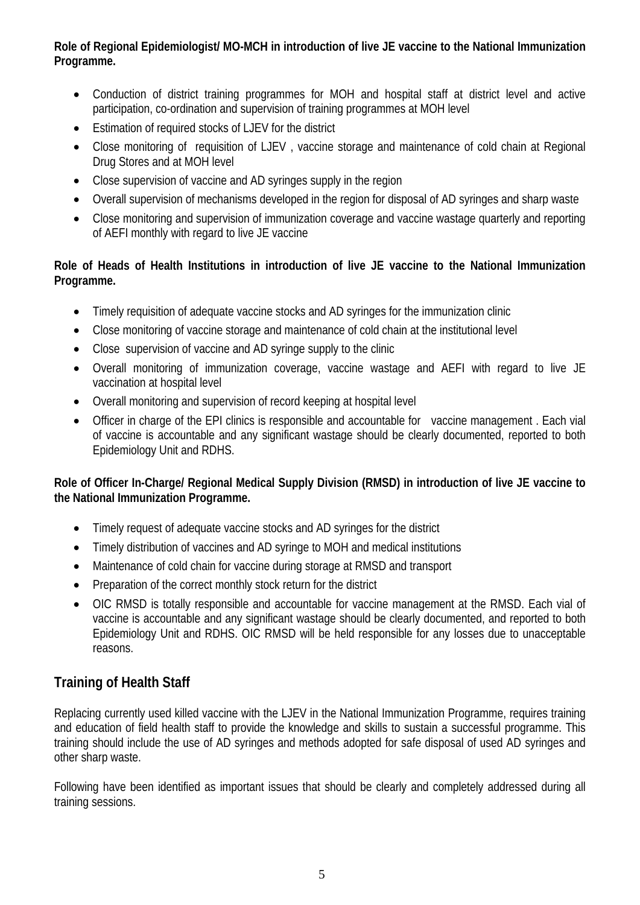**Role of Regional Epidemiologist/ MO-MCH in introduction of live JE vaccine to the National Immunization Programme.** 

- Conduction of district training programmes for MOH and hospital staff at district level and active participation, co-ordination and supervision of training programmes at MOH level
- Estimation of required stocks of LJEV for the district
- Close monitoring of requisition of LJEV , vaccine storage and maintenance of cold chain at Regional Drug Stores and at MOH level
- Close supervision of vaccine and AD syringes supply in the region
- Overall supervision of mechanisms developed in the region for disposal of AD syringes and sharp waste
- Close monitoring and supervision of immunization coverage and vaccine wastage quarterly and reporting of AEFI monthly with regard to live JE vaccine

# **Role of Heads of Health Institutions in introduction of live JE vaccine to the National Immunization Programme.**

- Timely requisition of adequate vaccine stocks and AD syringes for the immunization clinic
- Close monitoring of vaccine storage and maintenance of cold chain at the institutional level
- Close supervision of vaccine and AD syringe supply to the clinic
- Overall monitoring of immunization coverage, vaccine wastage and AEFI with regard to live JE vaccination at hospital level
- Overall monitoring and supervision of record keeping at hospital level
- Officer in charge of the EPI clinics is responsible and accountable for vaccine management . Each vial of vaccine is accountable and any significant wastage should be clearly documented, reported to both Epidemiology Unit and RDHS.

#### **Role of Officer In-Charge/ Regional Medical Supply Division (RMSD) in introduction of live JE vaccine to the National Immunization Programme.**

- Timely request of adequate vaccine stocks and AD syringes for the district
- Timely distribution of vaccines and AD syringe to MOH and medical institutions
- Maintenance of cold chain for vaccine during storage at RMSD and transport
- Preparation of the correct monthly stock return for the district
- OIC RMSD is totally responsible and accountable for vaccine management at the RMSD. Each vial of vaccine is accountable and any significant wastage should be clearly documented, and reported to both Epidemiology Unit and RDHS. OIC RMSD will be held responsible for any losses due to unacceptable reasons.

# **Training of Health Staff**

Replacing currently used killed vaccine with the LJEV in the National Immunization Programme, requires training and education of field health staff to provide the knowledge and skills to sustain a successful programme. This training should include the use of AD syringes and methods adopted for safe disposal of used AD syringes and other sharp waste.

Following have been identified as important issues that should be clearly and completely addressed during all training sessions.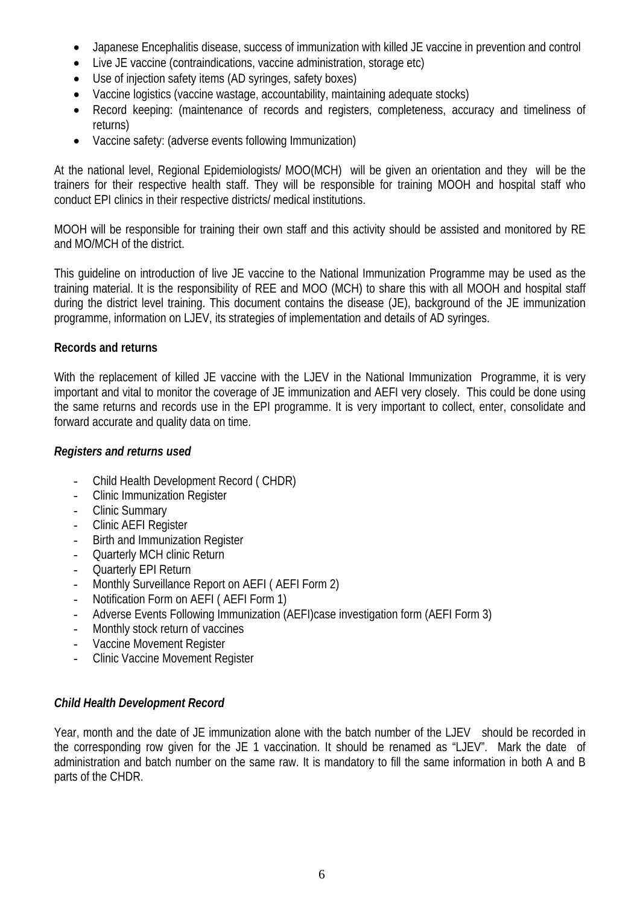- Japanese Encephalitis disease, success of immunization with killed JE vaccine in prevention and control
- Live JE vaccine (contraindications, vaccine administration, storage etc)
- Use of injection safety items (AD syringes, safety boxes)
- Vaccine logistics (vaccine wastage, accountability, maintaining adequate stocks)
- Record keeping: (maintenance of records and registers, completeness, accuracy and timeliness of returns)
- Vaccine safety: (adverse events following Immunization)

At the national level, Regional Epidemiologists/ MOO(MCH) will be given an orientation and they will be the trainers for their respective health staff. They will be responsible for training MOOH and hospital staff who conduct EPI clinics in their respective districts/ medical institutions.

MOOH will be responsible for training their own staff and this activity should be assisted and monitored by RE and MO/MCH of the district.

This guideline on introduction of live JE vaccine to the National Immunization Programme may be used as the training material. It is the responsibility of REE and MOO (MCH) to share this with all MOOH and hospital staff during the district level training. This document contains the disease (JE), background of the JE immunization programme, information on LJEV, its strategies of implementation and details of AD syringes.

#### **Records and returns**

With the replacement of killed JE vaccine with the LJEV in the National Immunization Programme, it is very important and vital to monitor the coverage of JE immunization and AEFI very closely. This could be done using the same returns and records use in the EPI programme. It is very important to collect, enter, consolidate and forward accurate and quality data on time.

#### *Registers and returns used*

- Child Health Development Record ( CHDR)
- Clinic Immunization Register
- Clinic Summary
- Clinic AEFI Register
- Birth and Immunization Register
- Quarterly MCH clinic Return
- Quarterly EPI Return
- Monthly Surveillance Report on AEFI ( AEFI Form 2)
- Notification Form on AEFI ( AEFI Form 1)
- Adverse Events Following Immunization (AEFI)case investigation form (AEFI Form 3)
- Monthly stock return of vaccines
- Vaccine Movement Register
- Clinic Vaccine Movement Register

#### *Child Health Development Record*

Year, month and the date of JE immunization alone with the batch number of the LJEV should be recorded in the corresponding row given for the JE 1 vaccination. It should be renamed as "LJEV". Mark the date of administration and batch number on the same raw. It is mandatory to fill the same information in both A and B parts of the CHDR.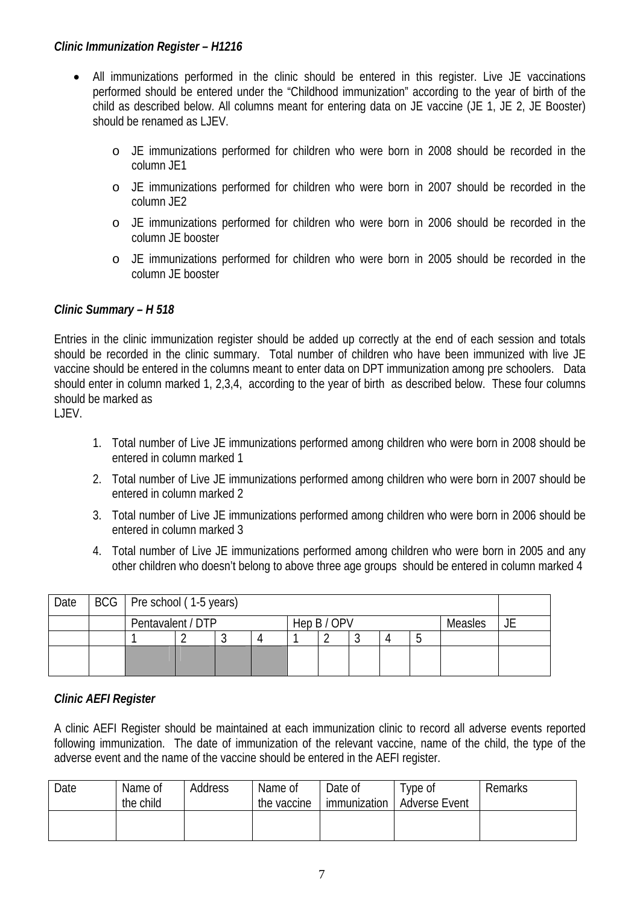#### *Clinic Immunization Register – H1216*

- All immunizations performed in the clinic should be entered in this register. Live JE vaccinations performed should be entered under the "Childhood immunization" according to the year of birth of the child as described below. All columns meant for entering data on JE vaccine (JE 1, JE 2, JE Booster) should be renamed as LJEV.
	- o JE immunizations performed for children who were born in 2008 should be recorded in the column JE1
	- o JE immunizations performed for children who were born in 2007 should be recorded in the column JE2
	- o JE immunizations performed for children who were born in 2006 should be recorded in the column JE booster
	- o JE immunizations performed for children who were born in 2005 should be recorded in the column JE booster

#### *Clinic Summary – H 518*

Entries in the clinic immunization register should be added up correctly at the end of each session and totals should be recorded in the clinic summary. Total number of children who have been immunized with live JE vaccine should be entered in the columns meant to enter data on DPT immunization among pre schoolers. Data should enter in column marked 1, 2,3,4, according to the year of birth as described below. These four columns should be marked as

LJEV.

- 1. Total number of Live JE immunizations performed among children who were born in 2008 should be entered in column marked 1
- 2. Total number of Live JE immunizations performed among children who were born in 2007 should be entered in column marked 2
- 3. Total number of Live JE immunizations performed among children who were born in 2006 should be entered in column marked 3
- 4. Total number of Live JE immunizations performed among children who were born in 2005 and any other children who doesn't belong to above three age groups should be entered in column marked 4

| Date | BCG   Pre school (1-5 years) |                                             |  |  |  |  |  |  |  |  |  |
|------|------------------------------|---------------------------------------------|--|--|--|--|--|--|--|--|--|
|      |                              | Pentavalent / DTP<br>Hep B / OPV<br>Measles |  |  |  |  |  |  |  |  |  |
|      |                              |                                             |  |  |  |  |  |  |  |  |  |
|      |                              |                                             |  |  |  |  |  |  |  |  |  |

#### *Clinic AEFI Register*

A clinic AEFI Register should be maintained at each immunization clinic to record all adverse events reported following immunization. The date of immunization of the relevant vaccine, name of the child, the type of the adverse event and the name of the vaccine should be entered in the AEFI register.

| Date | Name of<br>the child | Address | Name of<br>the vaccine | Date of<br>immunization | Type of<br><b>Adverse Event</b> | Remarks |
|------|----------------------|---------|------------------------|-------------------------|---------------------------------|---------|
|      |                      |         |                        |                         |                                 |         |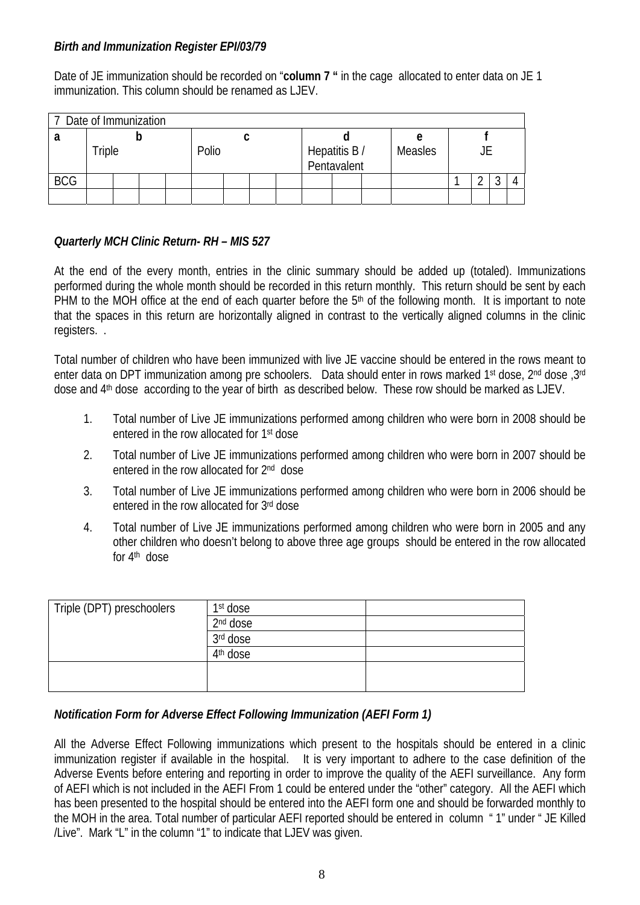#### *Birth and Immunization Register EPI/03/79*

Date of JE immunization should be recorded on "**column 7 "** in the cage allocated to enter data on JE 1 immunization. This column should be renamed as LJFV.

|            | 7 Date of Immunization |  |  |  |       |  |  |  |                              |  |  |         |  |  |  |  |
|------------|------------------------|--|--|--|-------|--|--|--|------------------------------|--|--|---------|--|--|--|--|
|            |                        |  |  |  |       |  |  |  |                              |  |  | е       |  |  |  |  |
|            | Triple                 |  |  |  | Polio |  |  |  | Hepatitis B /<br>Pentavalent |  |  | Measles |  |  |  |  |
| <b>BCG</b> |                        |  |  |  |       |  |  |  |                              |  |  |         |  |  |  |  |
|            |                        |  |  |  |       |  |  |  |                              |  |  |         |  |  |  |  |

## *Quarterly MCH Clinic Return- RH – MIS 527*

At the end of the every month, entries in the clinic summary should be added up (totaled). Immunizations performed during the whole month should be recorded in this return monthly. This return should be sent by each PHM to the MOH office at the end of each quarter before the 5<sup>th</sup> of the following month. It is important to note that the spaces in this return are horizontally aligned in contrast to the vertically aligned columns in the clinic registers. .

Total number of children who have been immunized with live JE vaccine should be entered in the rows meant to enter data on DPT immunization among pre schoolers. Data should enter in rows marked 1<sup>st</sup> dose, 2<sup>nd</sup> dose, 3<sup>rd</sup> dose and 4th dose according to the year of birth as described below. These row should be marked as LJEV.

- 1. Total number of Live JE immunizations performed among children who were born in 2008 should be entered in the row allocated for 1st dose
- 2. Total number of Live JE immunizations performed among children who were born in 2007 should be entered in the row allocated for 2nd dose
- 3. Total number of Live JE immunizations performed among children who were born in 2006 should be entered in the row allocated for 3rd dose
- 4. Total number of Live JE immunizations performed among children who were born in 2005 and any other children who doesn't belong to above three age groups should be entered in the row allocated for 4th dose

| Triple (DPT) preschoolers | 1 <sup>st</sup> dose |  |
|---------------------------|----------------------|--|
|                           | 2 <sup>nd</sup> dose |  |
|                           | 3rd dose             |  |
|                           | 4 <sup>th</sup> dose |  |
|                           |                      |  |
|                           |                      |  |

## *Notification Form for Adverse Effect Following Immunization (AEFI Form 1)*

All the Adverse Effect Following immunizations which present to the hospitals should be entered in a clinic immunization register if available in the hospital. It is very important to adhere to the case definition of the Adverse Events before entering and reporting in order to improve the quality of the AEFI surveillance. Any form of AEFI which is not included in the AEFI From 1 could be entered under the "other" category. All the AEFI which has been presented to the hospital should be entered into the AEFI form one and should be forwarded monthly to the MOH in the area. Total number of particular AEFI reported should be entered in column " 1" under " JE Killed /Live". Mark "L" in the column "1" to indicate that LJEV was given.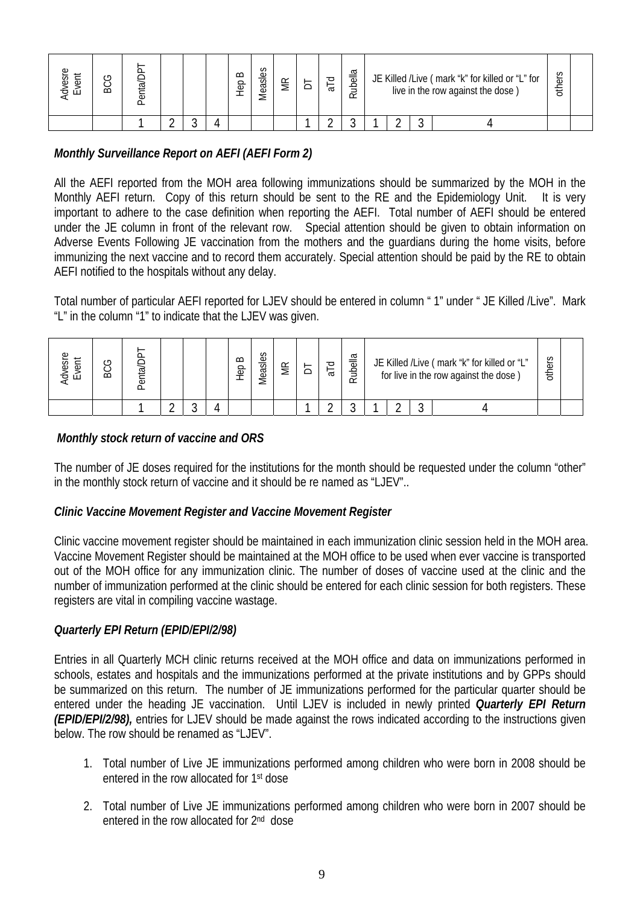| በን<br>⋍<br>ES<br>$\overline{\mathsf{d}}$ | ౨<br>မ္က | Jlair<br>ਨੋ |  | $\Omega$<br>$\frac{6}{5}$ | S<br>Φ<br>easl | <b>MR</b> | ರ<br>$\sigma$ | $\overline{\omega}$<br>$\overline{\Phi}$<br>₽<br>๔ |  | JE Killed /Live (mark "k" for killed or "L" for<br>live in the row against the dose) | others |  |
|------------------------------------------|----------|-------------|--|---------------------------|----------------|-----------|---------------|----------------------------------------------------|--|--------------------------------------------------------------------------------------|--------|--|
|                                          |          |             |  |                           |                |           |               |                                                    |  |                                                                                      |        |  |

# *Monthly Surveillance Report on AEFI (AEFI Form 2)*

All the AEFI reported from the MOH area following immunizations should be summarized by the MOH in the Monthly AEFI return. Copy of this return should be sent to the RE and the Epidemiology Unit. It is very important to adhere to the case definition when reporting the AEFI. Total number of AEFI should be entered under the JE column in front of the relevant row. Special attention should be given to obtain information on Adverse Events Following JE vaccination from the mothers and the guardians during the home visits, before immunizing the next vaccine and to record them accurately. Special attention should be paid by the RE to obtain AEFI notified to the hospitals without any delay.

Total number of particular AEFI reported for LJEV should be entered in column " 1" under " JE Killed /Live". Mark "L" in the column "1" to indicate that the LJEV was given.

| ΘSΓ<br>Φ<br>$\blacksquare$ | ت<br>ă | ᡕᡆ |  | $\infty$<br>90 | S<br>Φ<br>eas | $\tilde{\phantom{a}}$ | ਠ<br>$\sigma$ | ubella<br>≃ | JE Killed / Live (mark "k" for killed or "L"<br>for live in the row against the dose) | S<br>other |  |
|----------------------------|--------|----|--|----------------|---------------|-----------------------|---------------|-------------|---------------------------------------------------------------------------------------|------------|--|
|                            |        |    |  |                |               |                       |               |             |                                                                                       |            |  |

## *Monthly stock return of vaccine and ORS*

The number of JE doses required for the institutions for the month should be requested under the column "other" in the monthly stock return of vaccine and it should be re named as "LJEV"..

#### *Clinic Vaccine Movement Register and Vaccine Movement Register*

Clinic vaccine movement register should be maintained in each immunization clinic session held in the MOH area. Vaccine Movement Register should be maintained at the MOH office to be used when ever vaccine is transported out of the MOH office for any immunization clinic. The number of doses of vaccine used at the clinic and the number of immunization performed at the clinic should be entered for each clinic session for both registers. These registers are vital in compiling vaccine wastage.

## *Quarterly EPI Return (EPID/EPI/2/98)*

Entries in all Quarterly MCH clinic returns received at the MOH office and data on immunizations performed in schools, estates and hospitals and the immunizations performed at the private institutions and by GPPs should be summarized on this return. The number of JE immunizations performed for the particular quarter should be entered under the heading JE vaccination. Until LJEV is included in newly printed *Quarterly EPI Return (EPID/EPI/2/98),* entries for LJEV should be made against the rows indicated according to the instructions given below. The row should be renamed as "LJEV".

- 1. Total number of Live JE immunizations performed among children who were born in 2008 should be entered in the row allocated for 1st dose
- 2. Total number of Live JE immunizations performed among children who were born in 2007 should be entered in the row allocated for 2<sup>nd</sup> dose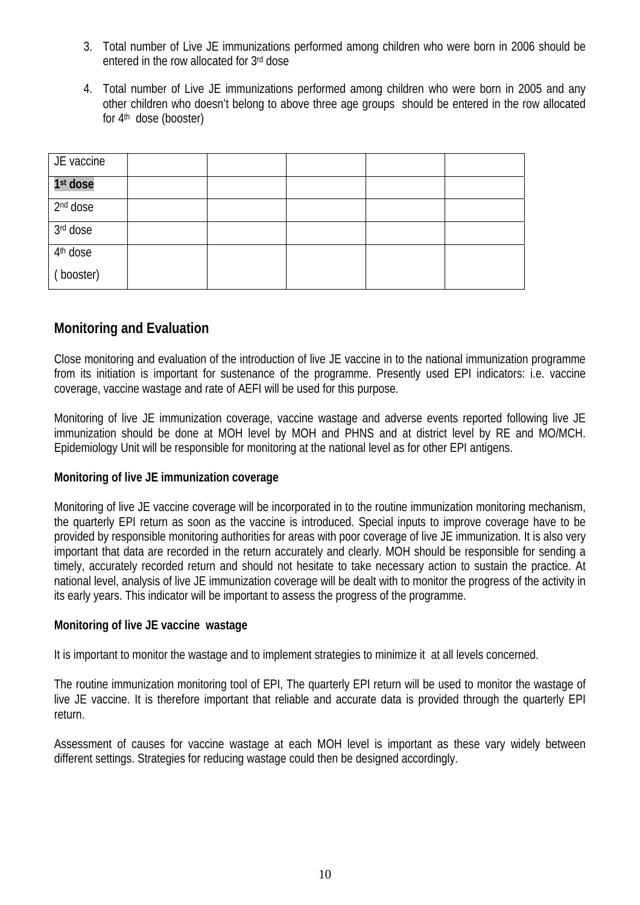- 3. Total number of Live JE immunizations performed among children who were born in 2006 should be entered in the row allocated for 3rd dose
- 4. Total number of Live JE immunizations performed among children who were born in 2005 and any other children who doesn't belong to above three age groups should be entered in the row allocated for 4th dose (booster)

| JE vaccine           |  |  |  |
|----------------------|--|--|--|
| 1 <sup>st</sup> dose |  |  |  |
| 2 <sup>nd</sup> dose |  |  |  |
| 3rd dose             |  |  |  |
| 4 <sup>th</sup> dose |  |  |  |
| (booster)            |  |  |  |

# **Monitoring and Evaluation**

Close monitoring and evaluation of the introduction of live JE vaccine in to the national immunization programme from its initiation is important for sustenance of the programme. Presently used EPI indicators: i.e. vaccine coverage, vaccine wastage and rate of AEFI will be used for this purpose.

Monitoring of live JE immunization coverage, vaccine wastage and adverse events reported following live JE immunization should be done at MOH level by MOH and PHNS and at district level by RE and MO/MCH. Epidemiology Unit will be responsible for monitoring at the national level as for other EPI antigens.

#### **Monitoring of live JE immunization coverage**

Monitoring of live JE vaccine coverage will be incorporated in to the routine immunization monitoring mechanism, the quarterly EPI return as soon as the vaccine is introduced. Special inputs to improve coverage have to be provided by responsible monitoring authorities for areas with poor coverage of live JE immunization. It is also very important that data are recorded in the return accurately and clearly. MOH should be responsible for sending a timely, accurately recorded return and should not hesitate to take necessary action to sustain the practice. At national level, analysis of live JE immunization coverage will be dealt with to monitor the progress of the activity in its early years. This indicator will be important to assess the progress of the programme.

#### **Monitoring of live JE vaccine wastage**

It is important to monitor the wastage and to implement strategies to minimize it at all levels concerned.

The routine immunization monitoring tool of EPI, The quarterly EPI return will be used to monitor the wastage of live JE vaccine. It is therefore important that reliable and accurate data is provided through the quarterly EPI return.

Assessment of causes for vaccine wastage at each MOH level is important as these vary widely between different settings. Strategies for reducing wastage could then be designed accordingly.